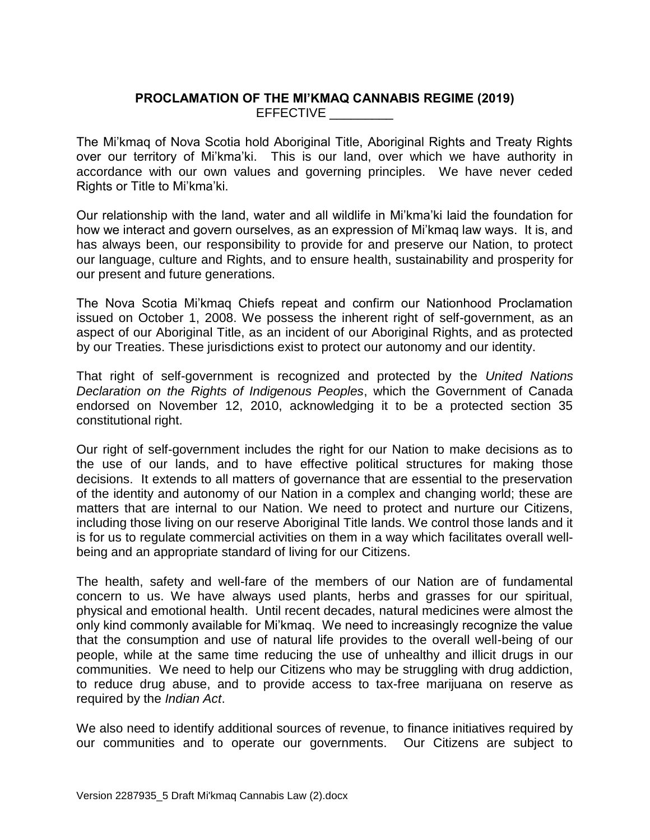# **PROCLAMATION OF THE MI'KMAQ CANNABIS REGIME (2019)** EFFECTIVE \_\_\_\_\_\_\_\_\_

The Mi'kmaq of Nova Scotia hold Aboriginal Title, Aboriginal Rights and Treaty Rights over our territory of Mi'kma'ki. This is our land, over which we have authority in accordance with our own values and governing principles. We have never ceded Rights or Title to Mi'kma'ki.

Our relationship with the land, water and all wildlife in Mi'kma'ki laid the foundation for how we interact and govern ourselves, as an expression of Mi'kmaq law ways. It is, and has always been, our responsibility to provide for and preserve our Nation, to protect our language, culture and Rights, and to ensure health, sustainability and prosperity for our present and future generations.

The Nova Scotia Mi'kmaq Chiefs repeat and confirm our Nationhood Proclamation issued on October 1, 2008. We possess the inherent right of self-government, as an aspect of our Aboriginal Title, as an incident of our Aboriginal Rights, and as protected by our Treaties. These jurisdictions exist to protect our autonomy and our identity.

That right of self-government is recognized and protected by the *United Nations Declaration on the Rights of Indigenous Peoples*, which the Government of Canada endorsed on November 12, 2010, acknowledging it to be a protected section 35 constitutional right.

Our right of self-government includes the right for our Nation to make decisions as to the use of our lands, and to have effective political structures for making those decisions. It extends to all matters of governance that are essential to the preservation of the identity and autonomy of our Nation in a complex and changing world; these are matters that are internal to our Nation. We need to protect and nurture our Citizens, including those living on our reserve Aboriginal Title lands. We control those lands and it is for us to regulate commercial activities on them in a way which facilitates overall wellbeing and an appropriate standard of living for our Citizens.

The health, safety and well-fare of the members of our Nation are of fundamental concern to us. We have always used plants, herbs and grasses for our spiritual, physical and emotional health. Until recent decades, natural medicines were almost the only kind commonly available for Mi'kmaq. We need to increasingly recognize the value that the consumption and use of natural life provides to the overall well-being of our people, while at the same time reducing the use of unhealthy and illicit drugs in our communities. We need to help our Citizens who may be struggling with drug addiction, to reduce drug abuse, and to provide access to tax-free marijuana on reserve as required by the *Indian Act*.

We also need to identify additional sources of revenue, to finance initiatives required by our communities and to operate our governments. Our Citizens are subject to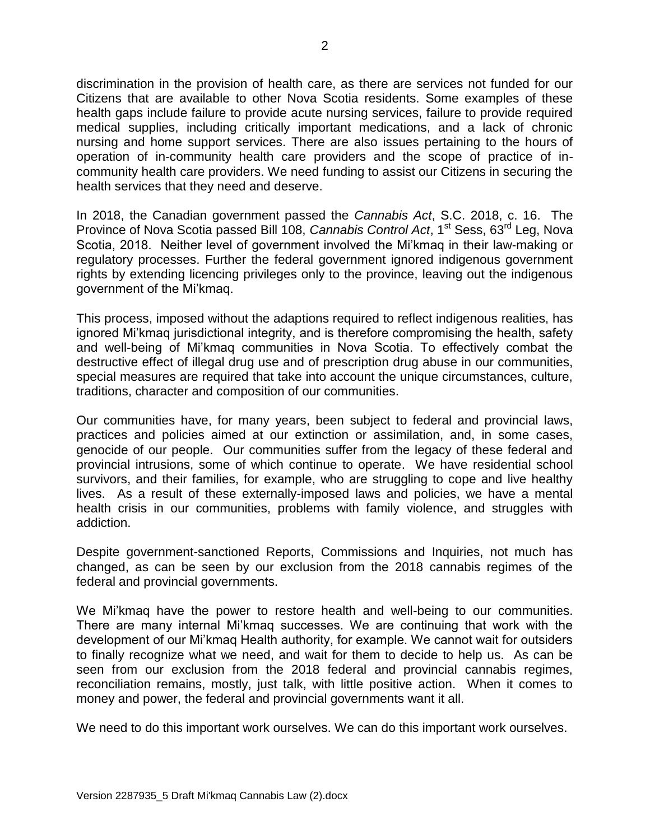discrimination in the provision of health care, as there are services not funded for our Citizens that are available to other Nova Scotia residents. Some examples of these health gaps include failure to provide acute nursing services, failure to provide required medical supplies, including critically important medications, and a lack of chronic nursing and home support services. There are also issues pertaining to the hours of operation of in-community health care providers and the scope of practice of incommunity health care providers. We need funding to assist our Citizens in securing the health services that they need and deserve.

In 2018, the Canadian government passed the *Cannabis Act*, S.C. 2018, c. 16. The Province of Nova Scotia passed Bill 108, *Cannabis Control Act*, 1<sup>st</sup> Sess, 63<sup>rd</sup> Leg, Nova Scotia, 2018. Neither level of government involved the Mi'kmaq in their law-making or regulatory processes. Further the federal government ignored indigenous government rights by extending licencing privileges only to the province, leaving out the indigenous government of the Mi'kmaq.

This process, imposed without the adaptions required to reflect indigenous realities, has ignored Mi'kmaq jurisdictional integrity, and is therefore compromising the health, safety and well-being of Mi'kmaq communities in Nova Scotia. To effectively combat the destructive effect of illegal drug use and of prescription drug abuse in our communities, special measures are required that take into account the unique circumstances, culture, traditions, character and composition of our communities.

Our communities have, for many years, been subject to federal and provincial laws, practices and policies aimed at our extinction or assimilation, and, in some cases, genocide of our people. Our communities suffer from the legacy of these federal and provincial intrusions, some of which continue to operate. We have residential school survivors, and their families, for example, who are struggling to cope and live healthy lives. As a result of these externally-imposed laws and policies, we have a mental health crisis in our communities, problems with family violence, and struggles with addiction.

Despite government-sanctioned Reports, Commissions and Inquiries, not much has changed, as can be seen by our exclusion from the 2018 cannabis regimes of the federal and provincial governments.

We Mi'kmaq have the power to restore health and well-being to our communities. There are many internal Mi'kmaq successes. We are continuing that work with the development of our Mi'kmaq Health authority, for example. We cannot wait for outsiders to finally recognize what we need, and wait for them to decide to help us. As can be seen from our exclusion from the 2018 federal and provincial cannabis regimes, reconciliation remains, mostly, just talk, with little positive action. When it comes to money and power, the federal and provincial governments want it all.

We need to do this important work ourselves. We can do this important work ourselves.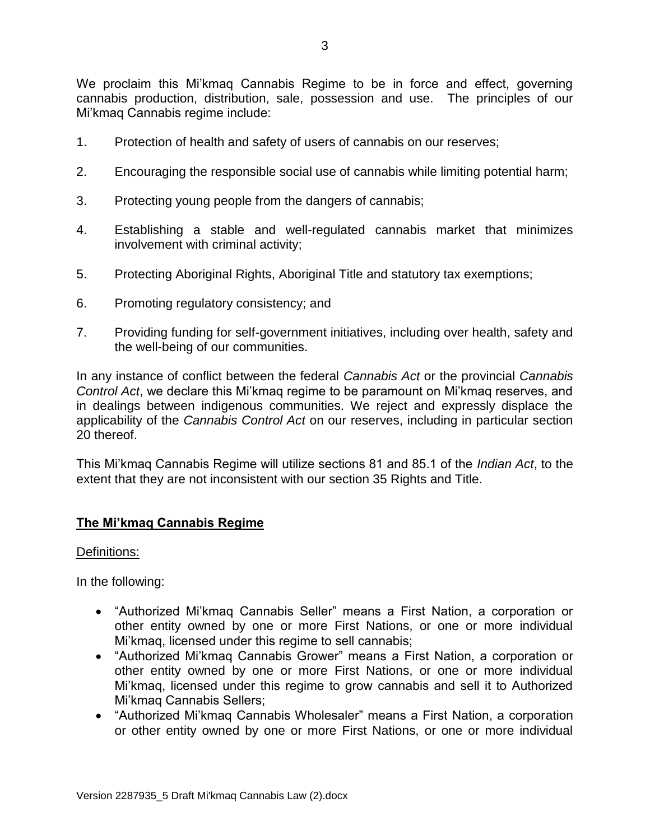We proclaim this Mi'kmaq Cannabis Regime to be in force and effect, governing cannabis production, distribution, sale, possession and use. The principles of our Mi'kmaq Cannabis regime include:

- 1. Protection of health and safety of users of cannabis on our reserves;
- 2. Encouraging the responsible social use of cannabis while limiting potential harm;
- 3. Protecting young people from the dangers of cannabis;
- 4. Establishing a stable and well-regulated cannabis market that minimizes involvement with criminal activity;
- 5. Protecting Aboriginal Rights, Aboriginal Title and statutory tax exemptions;
- 6. Promoting regulatory consistency; and
- 7. Providing funding for self-government initiatives, including over health, safety and the well-being of our communities.

In any instance of conflict between the federal *Cannabis Act* or the provincial *Cannabis Control Act*, we declare this Mi'kmaq regime to be paramount on Mi'kmaq reserves, and in dealings between indigenous communities. We reject and expressly displace the applicability of the *Cannabis Control Act* on our reserves, including in particular section 20 thereof.

This Mi'kmaq Cannabis Regime will utilize sections 81 and 85.1 of the *Indian Act*, to the extent that they are not inconsistent with our section 35 Rights and Title.

# **The Mi'kmaq Cannabis Regime**

## Definitions:

In the following:

- "Authorized Mi'kmaq Cannabis Seller" means a First Nation, a corporation or other entity owned by one or more First Nations, or one or more individual Mi'kmaq, licensed under this regime to sell cannabis;
- "Authorized Mi'kmaq Cannabis Grower" means a First Nation, a corporation or other entity owned by one or more First Nations, or one or more individual Mi'kmaq, licensed under this regime to grow cannabis and sell it to Authorized Mi'kmaq Cannabis Sellers;
- "Authorized Mi'kmaq Cannabis Wholesaler" means a First Nation, a corporation or other entity owned by one or more First Nations, or one or more individual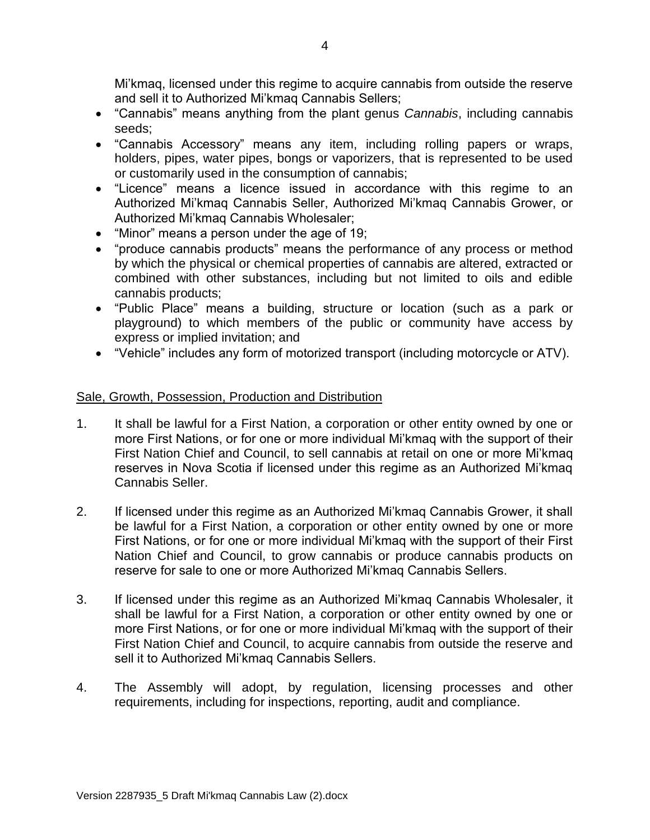Mi'kmaq, licensed under this regime to acquire cannabis from outside the reserve and sell it to Authorized Mi'kmaq Cannabis Sellers;

- "Cannabis" means anything from the plant genus *Cannabis*, including cannabis seeds;
- "Cannabis Accessory" means any item, including rolling papers or wraps, holders, pipes, water pipes, bongs or vaporizers, that is represented to be used or customarily used in the consumption of cannabis;
- "Licence" means a licence issued in accordance with this regime to an Authorized Mi'kmaq Cannabis Seller, Authorized Mi'kmaq Cannabis Grower, or Authorized Mi'kmaq Cannabis Wholesaler;
- "Minor" means a person under the age of 19;
- "produce cannabis products" means the performance of any process or method by which the physical or chemical properties of cannabis are altered, extracted or combined with other substances, including but not limited to oils and edible cannabis products;
- "Public Place" means a building, structure or location (such as a park or playground) to which members of the public or community have access by express or implied invitation; and
- "Vehicle" includes any form of motorized transport (including motorcycle or ATV).

## Sale, Growth, Possession, Production and Distribution

- 1. It shall be lawful for a First Nation, a corporation or other entity owned by one or more First Nations, or for one or more individual Mi'kmaq with the support of their First Nation Chief and Council, to sell cannabis at retail on one or more Mi'kmaq reserves in Nova Scotia if licensed under this regime as an Authorized Mi'kmaq Cannabis Seller.
- 2. If licensed under this regime as an Authorized Mi'kmaq Cannabis Grower, it shall be lawful for a First Nation, a corporation or other entity owned by one or more First Nations, or for one or more individual Mi'kmaq with the support of their First Nation Chief and Council, to grow cannabis or produce cannabis products on reserve for sale to one or more Authorized Mi'kmaq Cannabis Sellers.
- 3. If licensed under this regime as an Authorized Mi'kmaq Cannabis Wholesaler, it shall be lawful for a First Nation, a corporation or other entity owned by one or more First Nations, or for one or more individual Mi'kmaq with the support of their First Nation Chief and Council, to acquire cannabis from outside the reserve and sell it to Authorized Mi'kmaq Cannabis Sellers.
- 4. The Assembly will adopt, by regulation, licensing processes and other requirements, including for inspections, reporting, audit and compliance.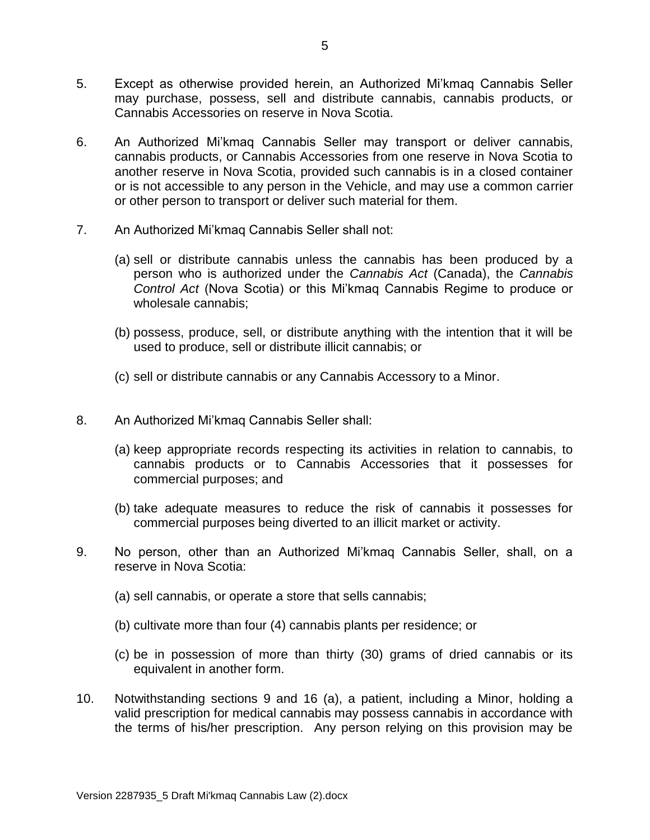- 5. Except as otherwise provided herein, an Authorized Mi'kmaq Cannabis Seller may purchase, possess, sell and distribute cannabis, cannabis products, or Cannabis Accessories on reserve in Nova Scotia.
- 6. An Authorized Mi'kmaq Cannabis Seller may transport or deliver cannabis, cannabis products, or Cannabis Accessories from one reserve in Nova Scotia to another reserve in Nova Scotia, provided such cannabis is in a closed container or is not accessible to any person in the Vehicle, and may use a common carrier or other person to transport or deliver such material for them.
- 7. An Authorized Mi'kmaq Cannabis Seller shall not:
	- (a) sell or distribute cannabis unless the cannabis has been produced by a person who is authorized under the *Cannabis Act* (Canada), the *Cannabis Control Act* (Nova Scotia) or this Mi'kmaq Cannabis Regime to produce or wholesale cannabis;
	- (b) possess, produce, sell, or distribute anything with the intention that it will be used to produce, sell or distribute illicit cannabis; or
	- (c) sell or distribute cannabis or any Cannabis Accessory to a Minor.
- 8. An Authorized Mi'kmaq Cannabis Seller shall:
	- (a) keep appropriate records respecting its activities in relation to cannabis, to cannabis products or to Cannabis Accessories that it possesses for commercial purposes; and
	- (b) take adequate measures to reduce the risk of cannabis it possesses for commercial purposes being diverted to an illicit market or activity.
- 9. No person, other than an Authorized Mi'kmaq Cannabis Seller, shall, on a reserve in Nova Scotia:
	- (a) sell cannabis, or operate a store that sells cannabis;
	- (b) cultivate more than four (4) cannabis plants per residence; or
	- (c) be in possession of more than thirty (30) grams of dried cannabis or its equivalent in another form.
- 10. Notwithstanding sections 9 and 16 (a), a patient, including a Minor, holding a valid prescription for medical cannabis may possess cannabis in accordance with the terms of his/her prescription. Any person relying on this provision may be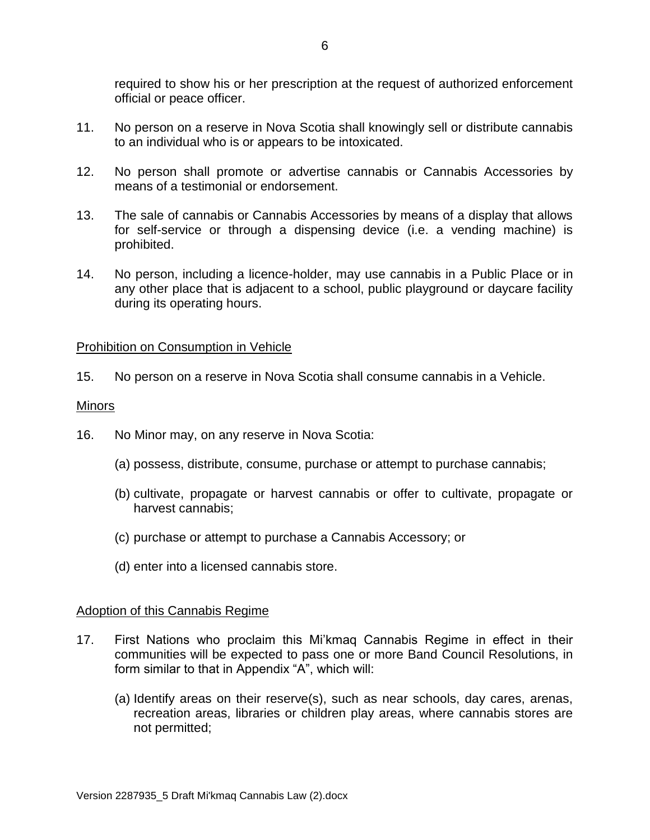required to show his or her prescription at the request of authorized enforcement official or peace officer.

- 11. No person on a reserve in Nova Scotia shall knowingly sell or distribute cannabis to an individual who is or appears to be intoxicated.
- 12. No person shall promote or advertise cannabis or Cannabis Accessories by means of a testimonial or endorsement.
- 13. The sale of cannabis or Cannabis Accessories by means of a display that allows for self-service or through a dispensing device (i.e. a vending machine) is prohibited.
- 14. No person, including a licence-holder, may use cannabis in a Public Place or in any other place that is adjacent to a school, public playground or daycare facility during its operating hours.

### Prohibition on Consumption in Vehicle

15. No person on a reserve in Nova Scotia shall consume cannabis in a Vehicle.

#### Minors

- 16. No Minor may, on any reserve in Nova Scotia:
	- (a) possess, distribute, consume, purchase or attempt to purchase cannabis;
	- (b) cultivate, propagate or harvest cannabis or offer to cultivate, propagate or harvest cannabis;
	- (c) purchase or attempt to purchase a Cannabis Accessory; or
	- (d) enter into a licensed cannabis store.

### Adoption of this Cannabis Regime

- 17. First Nations who proclaim this Mi'kmaq Cannabis Regime in effect in their communities will be expected to pass one or more Band Council Resolutions, in form similar to that in Appendix "A", which will:
	- (a) Identify areas on their reserve(s), such as near schools, day cares, arenas, recreation areas, libraries or children play areas, where cannabis stores are not permitted;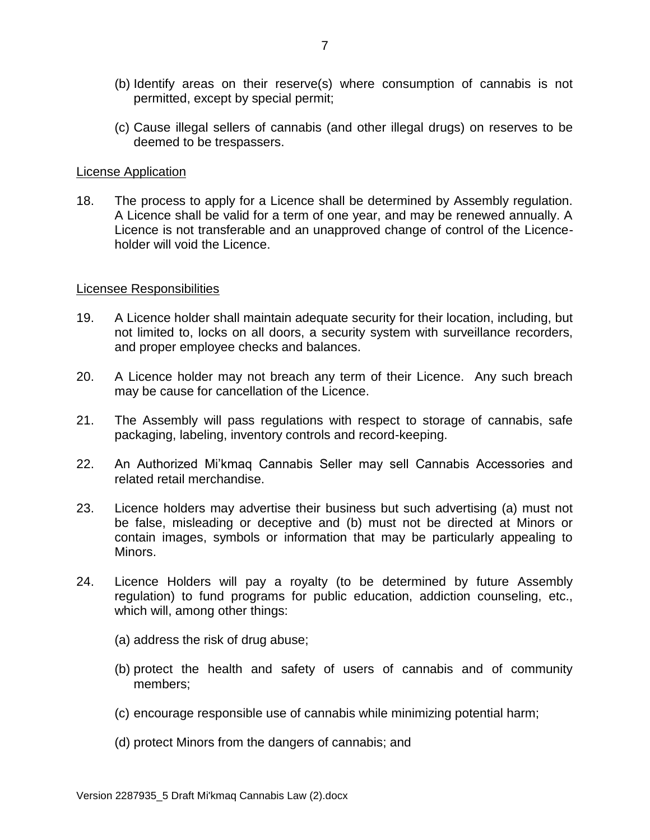- (b) Identify areas on their reserve(s) where consumption of cannabis is not permitted, except by special permit;
- (c) Cause illegal sellers of cannabis (and other illegal drugs) on reserves to be deemed to be trespassers.

### License Application

18. The process to apply for a Licence shall be determined by Assembly regulation. A Licence shall be valid for a term of one year, and may be renewed annually. A Licence is not transferable and an unapproved change of control of the Licenceholder will void the Licence.

#### Licensee Responsibilities

- 19. A Licence holder shall maintain adequate security for their location, including, but not limited to, locks on all doors, a security system with surveillance recorders, and proper employee checks and balances.
- 20. A Licence holder may not breach any term of their Licence. Any such breach may be cause for cancellation of the Licence.
- 21. The Assembly will pass regulations with respect to storage of cannabis, safe packaging, labeling, inventory controls and record-keeping.
- 22. An Authorized Mi'kmaq Cannabis Seller may sell Cannabis Accessories and related retail merchandise.
- 23. Licence holders may advertise their business but such advertising (a) must not be false, misleading or deceptive and (b) must not be directed at Minors or contain images, symbols or information that may be particularly appealing to Minors.
- 24. Licence Holders will pay a royalty (to be determined by future Assembly regulation) to fund programs for public education, addiction counseling, etc., which will, among other things:
	- (a) address the risk of drug abuse;
	- (b) protect the health and safety of users of cannabis and of community members;
	- (c) encourage responsible use of cannabis while minimizing potential harm;
	- (d) protect Minors from the dangers of cannabis; and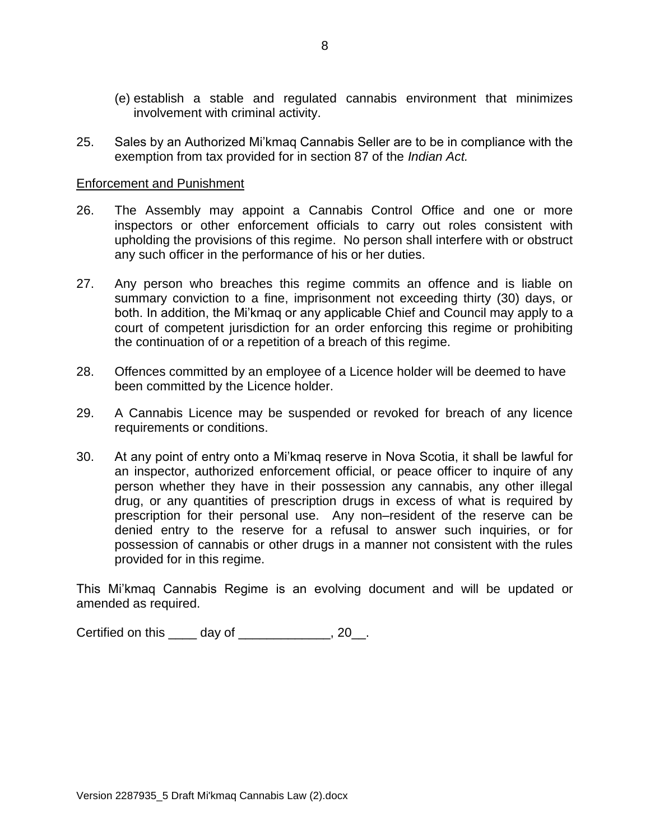- (e) establish a stable and regulated cannabis environment that minimizes involvement with criminal activity.
- 25. Sales by an Authorized Mi'kmaq Cannabis Seller are to be in compliance with the exemption from tax provided for in section 87 of the *Indian Act.*

### Enforcement and Punishment

- 26. The Assembly may appoint a Cannabis Control Office and one or more inspectors or other enforcement officials to carry out roles consistent with upholding the provisions of this regime. No person shall interfere with or obstruct any such officer in the performance of his or her duties.
- 27. Any person who breaches this regime commits an offence and is liable on summary conviction to a fine, imprisonment not exceeding thirty (30) days, or both. In addition, the Mi'kmaq or any applicable Chief and Council may apply to a court of competent jurisdiction for an order enforcing this regime or prohibiting the continuation of or a repetition of a breach of this regime.
- 28. Offences committed by an employee of a Licence holder will be deemed to have been committed by the Licence holder.
- 29. A Cannabis Licence may be suspended or revoked for breach of any licence requirements or conditions.
- 30. At any point of entry onto a Mi'kmaq reserve in Nova Scotia, it shall be lawful for an inspector, authorized enforcement official, or peace officer to inquire of any person whether they have in their possession any cannabis, any other illegal drug, or any quantities of prescription drugs in excess of what is required by prescription for their personal use. Any non–resident of the reserve can be denied entry to the reserve for a refusal to answer such inquiries, or for possession of cannabis or other drugs in a manner not consistent with the rules provided for in this regime.

This Mi'kmaq Cannabis Regime is an evolving document and will be updated or amended as required.

Certified on this \_\_\_\_ day of \_\_\_\_\_\_\_\_\_\_\_\_\_, 20\_\_.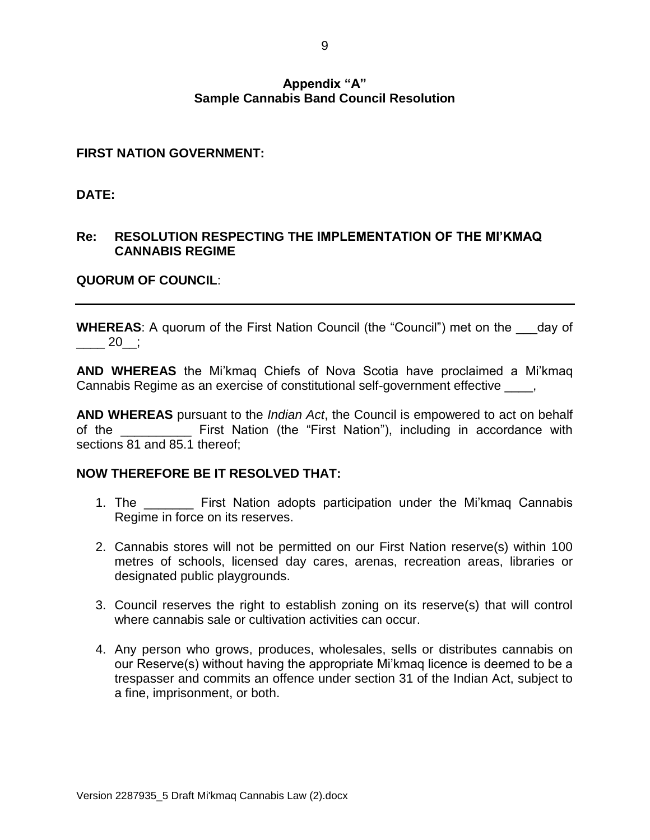### **Appendix "A" Sample Cannabis Band Council Resolution**

## **FIRST NATION GOVERNMENT:**

**DATE:**

# **Re: RESOLUTION RESPECTING THE IMPLEMENTATION OF THE MI'KMAQ CANNABIS REGIME**

# **QUORUM OF COUNCIL**:

**WHEREAS:** A quorum of the First Nation Council (the "Council") met on the day of  $20$ ;

**AND WHEREAS** the Mi'kmaq Chiefs of Nova Scotia have proclaimed a Mi'kmaq Cannabis Regime as an exercise of constitutional self-government effective  $\qquad, \qquad$ 

**AND WHEREAS** pursuant to the *Indian Act*, the Council is empowered to act on behalf of the **EXACTE:** First Nation (the "First Nation"), including in accordance with sections 81 and 85.1 thereof;

## **NOW THEREFORE BE IT RESOLVED THAT:**

- 1. The \_\_\_\_\_\_\_ First Nation adopts participation under the Mi'kmaq Cannabis Regime in force on its reserves.
- 2. Cannabis stores will not be permitted on our First Nation reserve(s) within 100 metres of schools, licensed day cares, arenas, recreation areas, libraries or designated public playgrounds.
- 3. Council reserves the right to establish zoning on its reserve(s) that will control where cannabis sale or cultivation activities can occur.
- 4. Any person who grows, produces, wholesales, sells or distributes cannabis on our Reserve(s) without having the appropriate Mi'kmaq licence is deemed to be a trespasser and commits an offence under section 31 of the Indian Act, subject to a fine, imprisonment, or both.